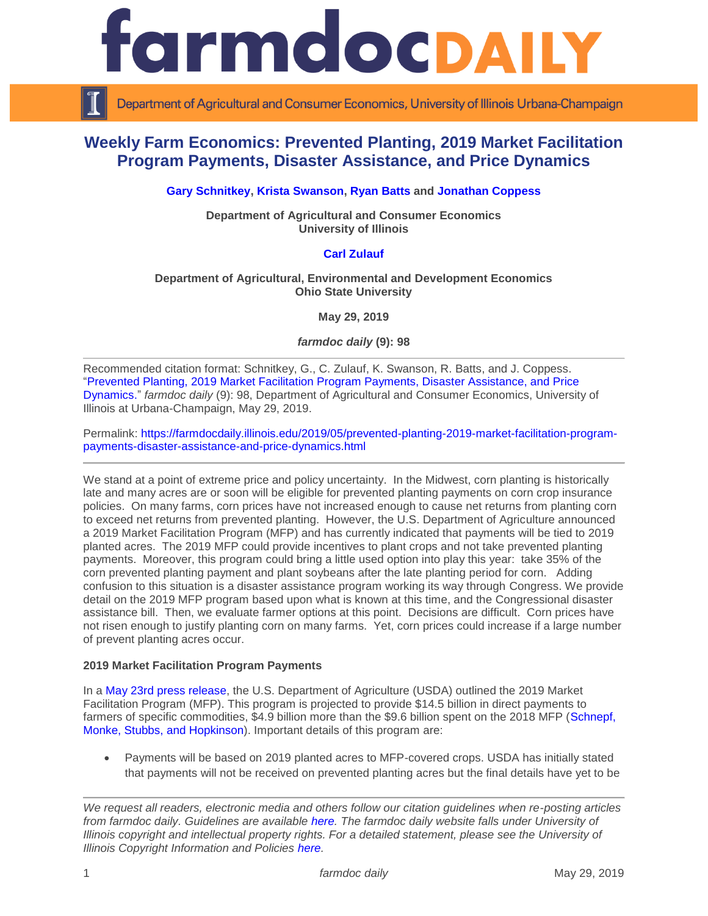

Department of Agricultural and Consumer Economics, University of Illinois Urbana-Champaign

# **Weekly Farm Economics: Prevented Planting, 2019 Market Facilitation Program Payments, Disaster Assistance, and Price Dynamics**

# **[Gary Schnitkey,](https://ace.illinois.edu/directory/schnitke) [Krista Swanson,](https://ace.illinois.edu/directory/krista) [Ryan Batts](http://ace.illinois.edu/directory/ryan-batts) and [Jonathan Coppess](https://ace.illinois.edu/directory/jwcoppes)**

**Department of Agricultural and Consumer Economics University of Illinois**

## **[Carl Zulauf](http://aede.osu.edu/our-people/carl-zulauf)**

#### **Department of Agricultural, Environmental and Development Economics Ohio State University**

**May 29, 2019**

*farmdoc daily* **(9): 98**

Recommended citation format: Schnitkey, G., C. Zulauf, K. Swanson, R. Batts, and J. Coppess. ["Prevented Planting, 2019 Market Facilitation Program Payments, Disaster Assistance, and Price](https://farmdocdaily.illinois.edu/2019/05/prevented-planting-2019-market-facilitation-program-payments-disaster-assistance-and-price-dynamics.html)  [Dynamics.](https://farmdocdaily.illinois.edu/2019/05/prevented-planting-2019-market-facilitation-program-payments-disaster-assistance-and-price-dynamics.html)" *farmdoc daily* (9): 98, Department of Agricultural and Consumer Economics, University of Illinois at Urbana-Champaign, May 29, 2019.

Permalink: [https://farmdocdaily.illinois.edu/2019/05/prevented-planting-2019-market-facilitation-program](https://farmdocdaily.illinois.edu/2019/05/prevented-planting-2019-market-facilitation-program-payments-disaster-assistance-and-price-dynamics.html)[payments-disaster-assistance-and-price-dynamics.html](https://farmdocdaily.illinois.edu/2019/05/prevented-planting-2019-market-facilitation-program-payments-disaster-assistance-and-price-dynamics.html)

We stand at a point of extreme price and policy uncertainty. In the Midwest, corn planting is historically late and many acres are or soon will be eligible for prevented planting payments on corn crop insurance policies. On many farms, corn prices have not increased enough to cause net returns from planting corn to exceed net returns from prevented planting. However, the U.S. Department of Agriculture announced a 2019 Market Facilitation Program (MFP) and has currently indicated that payments will be tied to 2019 planted acres. The 2019 MFP could provide incentives to plant crops and not take prevented planting payments. Moreover, this program could bring a little used option into play this year: take 35% of the corn prevented planting payment and plant soybeans after the late planting period for corn. Adding confusion to this situation is a disaster assistance program working its way through Congress. We provide detail on the 2019 MFP program based upon what is known at this time, and the Congressional disaster assistance bill. Then, we evaluate farmer options at this point. Decisions are difficult. Corn prices have not risen enough to justify planting corn on many farms. Yet, corn prices could increase if a large number of prevent planting acres occur.

#### **2019 Market Facilitation Program Payments**

In a [May 23rd press release,](https://www.usda.gov/media/press-releases/2019/05/23/usda-announces-support-farmers-impacted-unjustified-retaliation-and) the U.S. Department of Agriculture (USDA) outlined the 2019 Market Facilitation Program (MFP). This program is projected to provide \$14.5 billion in direct payments to farmers of specific commodities, \$4.9 billion more than the \$9.6 billion spent on the 2018 MFP [\(Schnepf,](https://fas.org/sgp/crs/misc/R45310.pdf)  [Monke, Stubbs, and Hopkinson\)](https://fas.org/sgp/crs/misc/R45310.pdf). Important details of this program are:

 Payments will be based on 2019 planted acres to MFP-covered crops. USDA has initially stated that payments will not be received on prevented planting acres but the final details have yet to be

*We request all readers, electronic media and others follow our citation guidelines when re-posting articles from farmdoc daily. Guidelines are available [here.](http://farmdocdaily.illinois.edu/citationguide.html) The farmdoc daily website falls under University of Illinois copyright and intellectual property rights. For a detailed statement, please see the University of Illinois Copyright Information and Policies [here.](http://www.cio.illinois.edu/policies/copyright/)*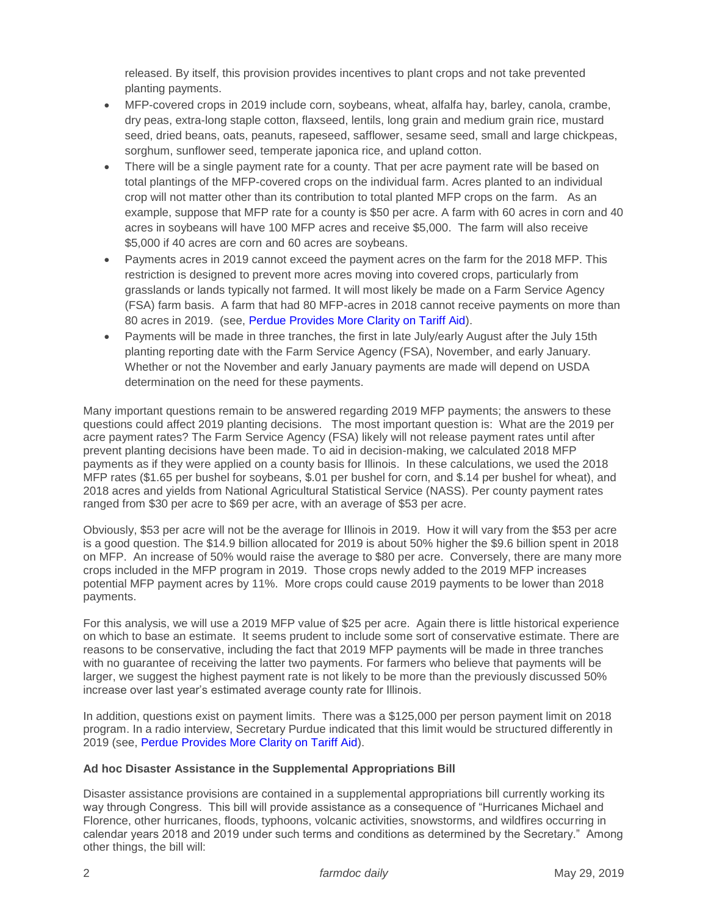released. By itself, this provision provides incentives to plant crops and not take prevented planting payments.

- MFP-covered crops in 2019 include corn, soybeans, wheat, alfalfa hay, barley, canola, crambe, dry peas, extra-long staple cotton, flaxseed, lentils, long grain and medium grain rice, mustard seed, dried beans, oats, peanuts, rapeseed, safflower, sesame seed, small and large chickpeas, sorghum, sunflower seed, temperate japonica rice, and upland cotton.
- There will be a single payment rate for a county. That per acre payment rate will be based on total plantings of the MFP-covered crops on the individual farm. Acres planted to an individual crop will not matter other than its contribution to total planted MFP crops on the farm. As an example, suppose that MFP rate for a county is \$50 per acre. A farm with 60 acres in corn and 40 acres in soybeans will have 100 MFP acres and receive \$5,000. The farm will also receive \$5,000 if 40 acres are corn and 60 acres are soybeans.
- Payments acres in 2019 cannot exceed the payment acres on the farm for the 2018 MFP. This restriction is designed to prevent more acres moving into covered crops, particularly from grasslands or lands typically not farmed. It will most likely be made on a Farm Service Agency (FSA) farm basis. A farm that had 80 MFP-acres in 2018 cannot receive payments on more than 80 acres in 2019. (see, [Perdue Provides More Clarity on Tariff Aid\)](https://www.agweb.com/article/perdue-provides-more-clarity-on-tariff-aid/?mkt_tok=eyJpIjoiWkRRNU1tRTVNbVEyWmpJMyIsInQiOiIwUmhsUEtsbEJXSW5SbkJYQzBGZk5vTUdLRTV6MWc4aFphdVNvQzBVNjgrb2VFQVgwZlNBZ1RtTUhhdldmV0xnbUhcL0lIUWFURStQeGo1aFFiTTNXVkI2KzkrOTlVS2VsRWhqd2Zjd092YTlNYUN1aldPbWNDWVwvVTZkeVpJaTRDIn0%3D).
- Payments will be made in three tranches, the first in late July/early August after the July 15th planting reporting date with the Farm Service Agency (FSA), November, and early January. Whether or not the November and early January payments are made will depend on USDA determination on the need for these payments.

Many important questions remain to be answered regarding 2019 MFP payments; the answers to these questions could affect 2019 planting decisions. The most important question is: What are the 2019 per acre payment rates? The Farm Service Agency (FSA) likely will not release payment rates until after prevent planting decisions have been made. To aid in decision-making, we calculated 2018 MFP payments as if they were applied on a county basis for Illinois. In these calculations, we used the 2018 MFP rates (\$1.65 per bushel for soybeans, \$.01 per bushel for corn, and \$.14 per bushel for wheat), and 2018 acres and yields from National Agricultural Statistical Service (NASS). Per county payment rates ranged from \$30 per acre to \$69 per acre, with an average of \$53 per acre.

Obviously, \$53 per acre will not be the average for Illinois in 2019. How it will vary from the \$53 per acre is a good question. The \$14.9 billion allocated for 2019 is about 50% higher the \$9.6 billion spent in 2018 on MFP. An increase of 50% would raise the average to \$80 per acre. Conversely, there are many more crops included in the MFP program in 2019. Those crops newly added to the 2019 MFP increases potential MFP payment acres by 11%. More crops could cause 2019 payments to be lower than 2018 payments.

For this analysis, we will use a 2019 MFP value of \$25 per acre. Again there is little historical experience on which to base an estimate. It seems prudent to include some sort of conservative estimate. There are reasons to be conservative, including the fact that 2019 MFP payments will be made in three tranches with no guarantee of receiving the latter two payments. For farmers who believe that payments will be larger, we suggest the highest payment rate is not likely to be more than the previously discussed 50% increase over last year's estimated average county rate for Illinois.

In addition, questions exist on payment limits. There was a \$125,000 per person payment limit on 2018 program. In a radio interview, Secretary Purdue indicated that this limit would be structured differently in 2019 (see, [Perdue Provides More Clarity on Tariff Aid\)](https://www.agweb.com/article/perdue-provides-more-clarity-on-tariff-aid/?mkt_tok=eyJpIjoiWkRRNU1tRTVNbVEyWmpJMyIsInQiOiIwUmhsUEtsbEJXSW5SbkJYQzBGZk5vTUdLRTV6MWc4aFphdVNvQzBVNjgrb2VFQVgwZlNBZ1RtTUhhdldmV0xnbUhcL0lIUWFURStQeGo1aFFiTTNXVkI2KzkrOTlVS2VsRWhqd2Zjd092YTlNYUN1aldPbWNDWVwvVTZkeVpJaTRDIn0%3D).

# **Ad hoc Disaster Assistance in the Supplemental Appropriations Bill**

Disaster assistance provisions are contained in a supplemental appropriations bill currently working its way through Congress. This bill will provide assistance as a consequence of "Hurricanes Michael and Florence, other hurricanes, floods, typhoons, volcanic activities, snowstorms, and wildfires occurring in calendar years 2018 and 2019 under such terms and conditions as determined by the Secretary." Among other things, the bill will: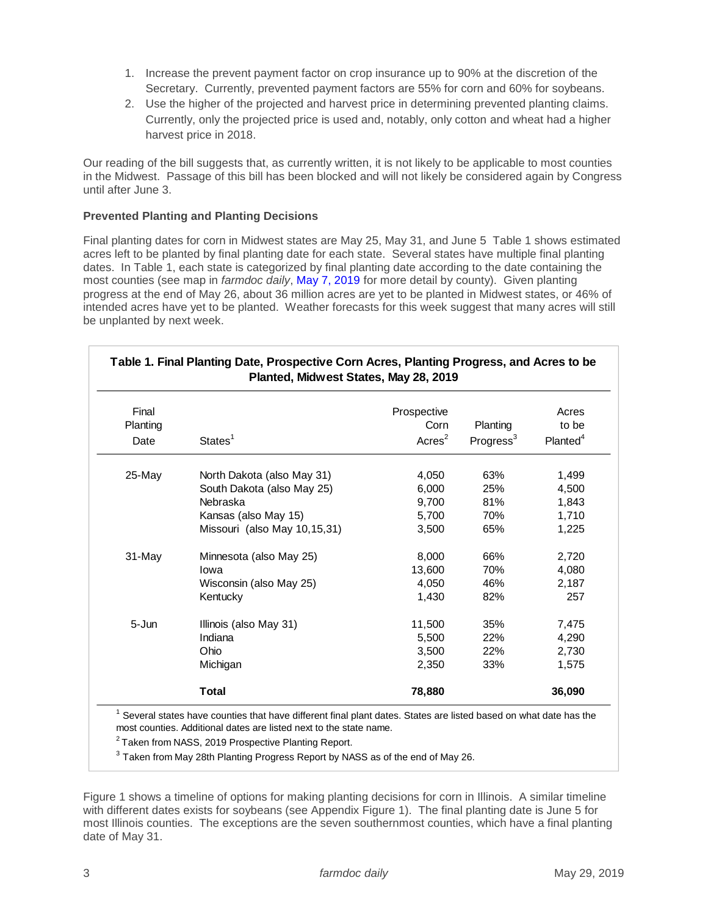- 1. Increase the prevent payment factor on crop insurance up to 90% at the discretion of the Secretary. Currently, prevented payment factors are 55% for corn and 60% for soybeans.
- 2. Use the higher of the projected and harvest price in determining prevented planting claims. Currently, only the projected price is used and, notably, only cotton and wheat had a higher harvest price in 2018.

Our reading of the bill suggests that, as currently written, it is not likely to be applicable to most counties in the Midwest. Passage of this bill has been blocked and will not likely be considered again by Congress until after June 3.

#### **Prevented Planting and Planting Decisions**

Final planting dates for corn in Midwest states are May 25, May 31, and June 5 Table 1 shows estimated acres left to be planted by final planting date for each state. Several states have multiple final planting dates. In Table 1, each state is categorized by final planting date according to the date containing the most counties (see map in *farmdoc daily*, [May 7, 2019](https://farmdocdaily.illinois.edu/2019/05/late-planting-decisions-in-2019.html) for more detail by county). Given planting progress at the end of May 26, about 36 million acres are yet to be planted in Midwest states, or 46% of intended acres have yet to be planted. Weather forecasts for this week suggest that many acres will still be unplanted by next week.

| Final            | States <sup>1</sup>          | Prospective | Planting              | Acres<br>to be       |
|------------------|------------------------------|-------------|-----------------------|----------------------|
| Planting<br>Date |                              | Corn        |                       |                      |
|                  |                              | Acres $2$   | Progress <sup>3</sup> | Planted <sup>4</sup> |
| $25$ -May        | North Dakota (also May 31)   | 4,050       | 63%                   | 1,499                |
|                  | South Dakota (also May 25)   | 6,000       | 25%                   | 4,500                |
|                  | Nebraska                     | 9,700       | 81%                   | 1,843                |
|                  | Kansas (also May 15)         | 5,700       | 70%                   | 1,710                |
|                  | Missouri (also May 10,15,31) | 3,500       | 65%                   | 1,225                |
| 31-May           | Minnesota (also May 25)      | 8,000       | 66%                   | 2,720                |
|                  | lowa                         | 13,600      | 70%                   | 4,080                |
|                  | Wisconsin (also May 25)      | 4,050       | 46%                   | 2,187                |
|                  | Kentucky                     | 1,430       | 82%                   | 257                  |
| $5 - Jun$        | Illinois (also May 31)       | 11,500      | 35%                   | 7,475                |
|                  | Indiana                      | 5,500       | 22%                   | 4,290                |
|                  | Ohio                         | 3,500       | 22%                   | 2,730                |
|                  | Michigan                     | 2,350       | 33%                   | 1,575                |
|                  | <b>Total</b>                 | 78,880      |                       | 36,090               |

 $^3$  Taken from May 28th Planting Progress Report by NASS as of the end of May 26.

Figure 1 shows a timeline of options for making planting decisions for corn in Illinois. A similar timeline with different dates exists for soybeans (see Appendix Figure 1). The final planting date is June 5 for most Illinois counties. The exceptions are the seven southernmost counties, which have a final planting date of May 31.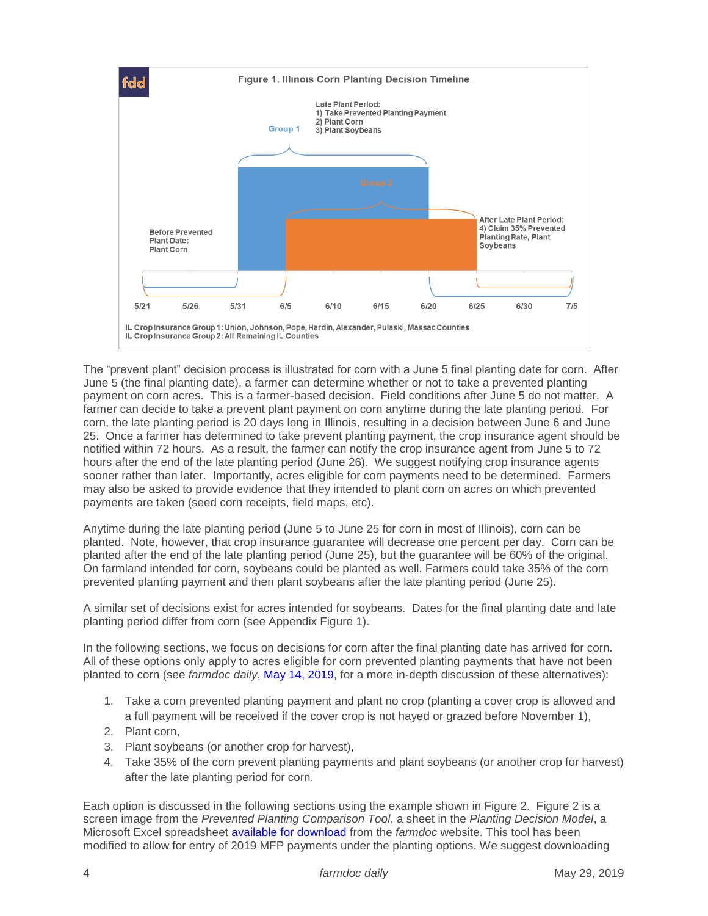

The "prevent plant" decision process is illustrated for corn with a June 5 final planting date for corn. After June 5 (the final planting date), a farmer can determine whether or not to take a prevented planting payment on corn acres. This is a farmer-based decision. Field conditions after June 5 do not matter. A farmer can decide to take a prevent plant payment on corn anytime during the late planting period. For corn, the late planting period is 20 days long in Illinois, resulting in a decision between June 6 and June 25. Once a farmer has determined to take prevent planting payment, the crop insurance agent should be notified within 72 hours. As a result, the farmer can notify the crop insurance agent from June 5 to 72 hours after the end of the late planting period (June 26). We suggest notifying crop insurance agents sooner rather than later. Importantly, acres eligible for corn payments need to be determined. Farmers may also be asked to provide evidence that they intended to plant corn on acres on which prevented payments are taken (seed corn receipts, field maps, etc).

Anytime during the late planting period (June 5 to June 25 for corn in most of Illinois), corn can be planted. Note, however, that crop insurance guarantee will decrease one percent per day. Corn can be planted after the end of the late planting period (June 25), but the guarantee will be 60% of the original. On farmland intended for corn, soybeans could be planted as well. Farmers could take 35% of the corn prevented planting payment and then plant soybeans after the late planting period (June 25).

A similar set of decisions exist for acres intended for soybeans. Dates for the final planting date and late planting period differ from corn (see Appendix Figure 1).

In the following sections, we focus on decisions for corn after the final planting date has arrived for corn. All of these options only apply to acres eligible for corn prevented planting payments that have not been planted to corn (see *farmdoc daily*, [May 14, 2019,](https://farmdocdaily.illinois.edu/2019/05/prevented-planting-decision-for-corn-in-the-midwest.html) for a more in-depth discussion of these alternatives):

- 1. Take a corn prevented planting payment and plant no crop (planting a cover crop is allowed and a full payment will be received if the cover crop is not hayed or grazed before November 1),
- 2. Plant corn,
- 3. Plant soybeans (or another crop for harvest),
- 4. Take 35% of the corn prevent planting payments and plant soybeans (or another crop for harvest) after the late planting period for corn.

Each option is discussed in the following sections using the example shown in Figure 2. Figure 2 is a screen image from the *Prevented Planting Comparison Tool*, a sheet in the *Planting Decision Model*, a Microsoft Excel spreadsheet [available for download](https://farmdoc.illinois.edu/fast-tools/planting-decision-model) from the *farmdoc* website. This tool has been modified to allow for entry of 2019 MFP payments under the planting options. We suggest downloading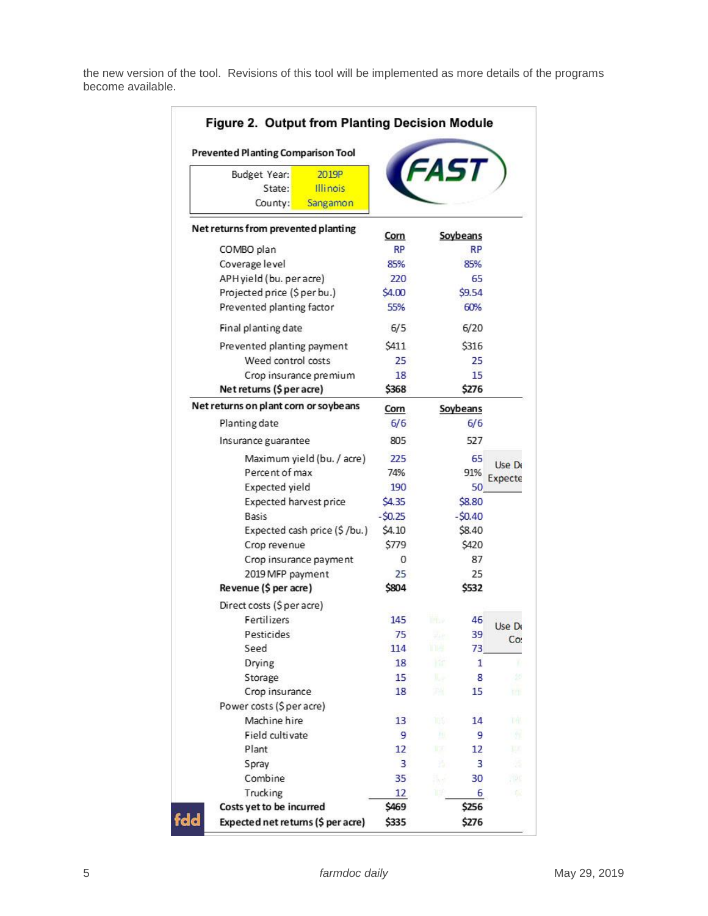the new version of the tool. Revisions of this tool will be implemented as more details of the programs become available.

| Figure 2. Output from Planting Decision Module<br><b>Prevented Planting Comparison Tool</b> |          |             |          |         |  |  |
|---------------------------------------------------------------------------------------------|----------|-------------|----------|---------|--|--|
| 2019P<br>Budget Year:<br>State:<br><b>Illinois</b><br>County:<br>Sangamon                   |          | <b>FAST</b> |          |         |  |  |
| Net returns from prevented planting                                                         | Corn     | Soybeans    |          |         |  |  |
| COMBO plan                                                                                  | RP       |             | RP       |         |  |  |
| Coverage level                                                                              | 85%      |             | 85%      |         |  |  |
| APH yield (bu. per acre)                                                                    | 220      |             | 65       |         |  |  |
| Projected price (\$ per bu.)                                                                | \$4.00   |             | \$9.54   |         |  |  |
| Prevented planting factor                                                                   | 55%      |             | 60%      |         |  |  |
| Final planting date                                                                         | 6/5      |             | 6/20     |         |  |  |
| Prevented planting payment                                                                  | \$411    |             | \$316    |         |  |  |
| Weed control costs                                                                          | 25       |             | 25       |         |  |  |
| Crop insurance premium                                                                      | 18       |             | 15       |         |  |  |
| Net returns (\$ per acre)                                                                   | \$368    |             | \$276    |         |  |  |
| Net returns on plant corn or soybe ans                                                      | Corn     |             | Soybeans |         |  |  |
| Planting date                                                                               | 6/6      |             | 6/6      |         |  |  |
| Insurance guarantee                                                                         | 805      |             | 527      |         |  |  |
| Maximum yield (bu. / acre)                                                                  | 225      |             | 65       |         |  |  |
| Percent of max                                                                              | 74%      |             | 91%      | Use De  |  |  |
| Expected yield                                                                              | 190      |             | 50       | Expecte |  |  |
| Expected harvest price                                                                      | \$4.35   |             | \$8.80   |         |  |  |
| Basis                                                                                       | $-50.25$ |             | $-50.40$ |         |  |  |
| Expected cash price (\$/bu.)                                                                | \$4.10   |             | \$8.40   |         |  |  |
| Crop revenue                                                                                | \$779    |             | \$420    |         |  |  |
| Crop insurance payment                                                                      | 0        |             | 87       |         |  |  |
| 2019 MFP payment                                                                            | 25       |             | 25       |         |  |  |
| Revenue (\$ per acre)                                                                       | \$804    |             | \$532    |         |  |  |
| Direct costs (\$ per acre)                                                                  |          |             |          |         |  |  |
| Fertilizers.                                                                                | 145      | This is     | 46       |         |  |  |
| Pesticides                                                                                  | 75       | π4 m        | 39       | Use De  |  |  |
| Seed                                                                                        | 114      | 1169        | 73       | Co:     |  |  |
| Drying                                                                                      | 18       | 稀           | 1        | r       |  |  |
| Storage                                                                                     | 15       | L.          | 8        | 25      |  |  |
| Crop insurance                                                                              | 18       | 74.         | 15       | m'n     |  |  |
| Power costs (\$ per acre)                                                                   |          |             |          |         |  |  |
| Machine hire                                                                                | 13       | 165 I       | 14       | THE .   |  |  |
| Field cultivate                                                                             | 9        | 瓶           | 9        | 雅       |  |  |
| Plant                                                                                       | 12       | 13.         | 12       | U.C     |  |  |
| Spray                                                                                       | 3        | 连           | 3        | 遀       |  |  |
| Combine                                                                                     | 35       | S, é        | 30       | 799     |  |  |
| Trucking                                                                                    | 12       | TOŘ         | 6        | 168     |  |  |
| Costs yet to be incurred                                                                    | \$469    |             | \$256    |         |  |  |
| fdd                                                                                         |          |             | \$276    |         |  |  |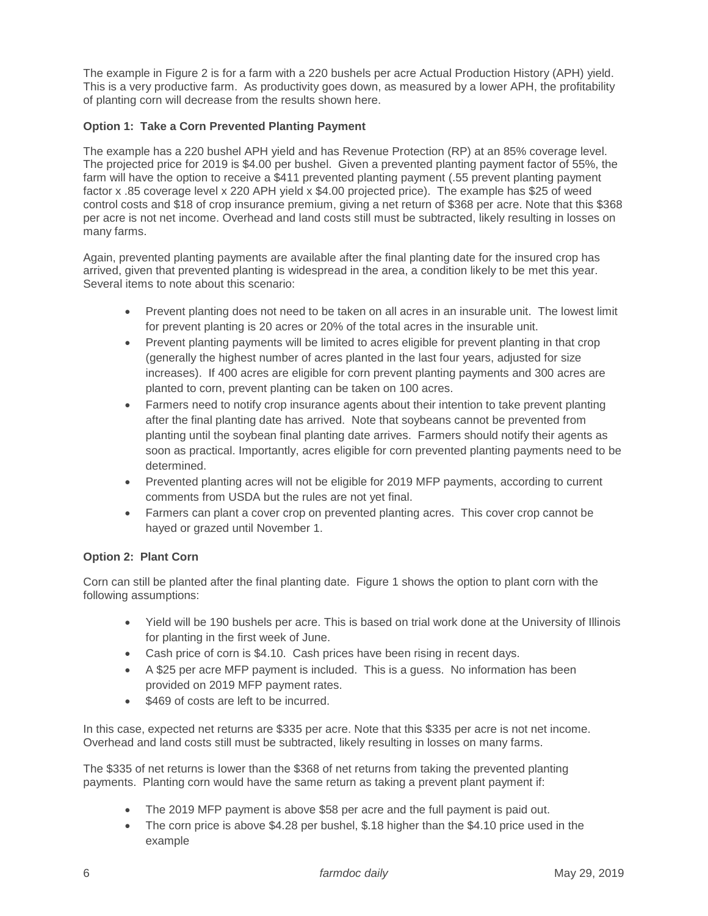The example in Figure 2 is for a farm with a 220 bushels per acre Actual Production History (APH) yield. This is a very productive farm. As productivity goes down, as measured by a lower APH, the profitability of planting corn will decrease from the results shown here.

# **Option 1: Take a Corn Prevented Planting Payment**

The example has a 220 bushel APH yield and has Revenue Protection (RP) at an 85% coverage level. The projected price for 2019 is \$4.00 per bushel. Given a prevented planting payment factor of 55%, the farm will have the option to receive a \$411 prevented planting payment (.55 prevent planting payment factor x .85 coverage level x 220 APH yield x \$4.00 projected price). The example has \$25 of weed control costs and \$18 of crop insurance premium, giving a net return of \$368 per acre. Note that this \$368 per acre is not net income. Overhead and land costs still must be subtracted, likely resulting in losses on many farms.

Again, prevented planting payments are available after the final planting date for the insured crop has arrived, given that prevented planting is widespread in the area, a condition likely to be met this year. Several items to note about this scenario:

- Prevent planting does not need to be taken on all acres in an insurable unit. The lowest limit for prevent planting is 20 acres or 20% of the total acres in the insurable unit.
- Prevent planting payments will be limited to acres eligible for prevent planting in that crop (generally the highest number of acres planted in the last four years, adjusted for size increases). If 400 acres are eligible for corn prevent planting payments and 300 acres are planted to corn, prevent planting can be taken on 100 acres.
- Farmers need to notify crop insurance agents about their intention to take prevent planting after the final planting date has arrived. Note that soybeans cannot be prevented from planting until the soybean final planting date arrives. Farmers should notify their agents as soon as practical. Importantly, acres eligible for corn prevented planting payments need to be determined.
- Prevented planting acres will not be eligible for 2019 MFP payments, according to current comments from USDA but the rules are not yet final.
- Farmers can plant a cover crop on prevented planting acres. This cover crop cannot be hayed or grazed until November 1.

# **Option 2: Plant Corn**

Corn can still be planted after the final planting date. Figure 1 shows the option to plant corn with the following assumptions:

- Yield will be 190 bushels per acre. This is based on trial work done at the University of Illinois for planting in the first week of June.
- Cash price of corn is \$4.10. Cash prices have been rising in recent days.
- A \$25 per acre MFP payment is included. This is a guess. No information has been provided on 2019 MFP payment rates.
- \$469 of costs are left to be incurred.

In this case, expected net returns are \$335 per acre. Note that this \$335 per acre is not net income. Overhead and land costs still must be subtracted, likely resulting in losses on many farms.

The \$335 of net returns is lower than the \$368 of net returns from taking the prevented planting payments. Planting corn would have the same return as taking a prevent plant payment if:

- The 2019 MFP payment is above \$58 per acre and the full payment is paid out.
- The corn price is above \$4.28 per bushel, \$.18 higher than the \$4.10 price used in the example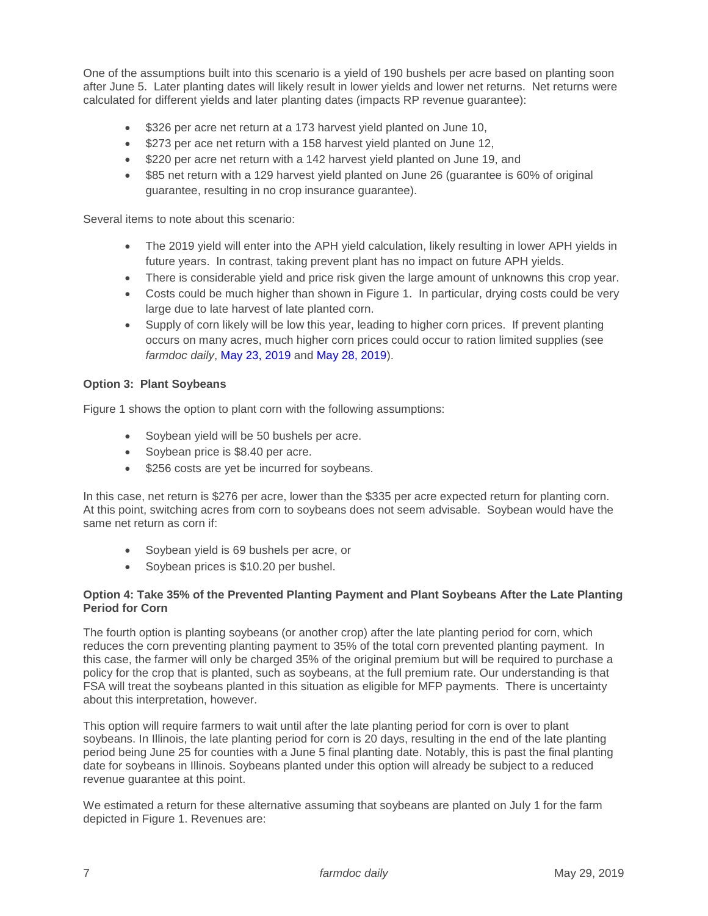One of the assumptions built into this scenario is a yield of 190 bushels per acre based on planting soon after June 5. Later planting dates will likely result in lower yields and lower net returns. Net returns were calculated for different yields and later planting dates (impacts RP revenue guarantee):

- \$326 per acre net return at a 173 harvest yield planted on June 10,
- \$273 per ace net return with a 158 harvest yield planted on June 12,
- \$220 per acre net return with a 142 harvest yield planted on June 19, and
- \$85 net return with a 129 harvest yield planted on June 26 (quarantee is 60% of original guarantee, resulting in no crop insurance guarantee).

Several items to note about this scenario:

- The 2019 yield will enter into the APH yield calculation, likely resulting in lower APH yields in future years. In contrast, taking prevent plant has no impact on future APH yields.
- There is considerable yield and price risk given the large amount of unknowns this crop year.
- Costs could be much higher than shown in Figure 1. In particular, drying costs could be very large due to late harvest of late planted corn.
- Supply of corn likely will be low this year, leading to higher corn prices. If prevent planting occurs on many acres, much higher corn prices could occur to ration limited supplies (see *farmdoc daily*, [May 23, 2019](https://farmdocdaily.illinois.edu/2019/05/the-implications-of-late-planting-for-the-2019-20-corn-balance-sheet.html) and [May 28, 2019\)](https://farmdocdaily.illinois.edu/2019/05/corn-price-strength-grows-on-supply-issues.html).

## **Option 3: Plant Soybeans**

Figure 1 shows the option to plant corn with the following assumptions:

- Soybean yield will be 50 bushels per acre.
- Soybean price is \$8.40 per acre.
- **\$256 costs are yet be incurred for soybeans.**

In this case, net return is \$276 per acre, lower than the \$335 per acre expected return for planting corn. At this point, switching acres from corn to soybeans does not seem advisable. Soybean would have the same net return as corn if:

- Soybean yield is 69 bushels per acre, or
- Soybean prices is \$10.20 per bushel.

# **Option 4: Take 35% of the Prevented Planting Payment and Plant Soybeans After the Late Planting Period for Corn**

The fourth option is planting soybeans (or another crop) after the late planting period for corn, which reduces the corn preventing planting payment to 35% of the total corn prevented planting payment. In this case, the farmer will only be charged 35% of the original premium but will be required to purchase a policy for the crop that is planted, such as soybeans, at the full premium rate. Our understanding is that FSA will treat the soybeans planted in this situation as eligible for MFP payments. There is uncertainty about this interpretation, however.

This option will require farmers to wait until after the late planting period for corn is over to plant soybeans. In Illinois, the late planting period for corn is 20 days, resulting in the end of the late planting period being June 25 for counties with a June 5 final planting date. Notably, this is past the final planting date for soybeans in Illinois. Soybeans planted under this option will already be subject to a reduced revenue guarantee at this point.

We estimated a return for these alternative assuming that soybeans are planted on July 1 for the farm depicted in Figure 1. Revenues are: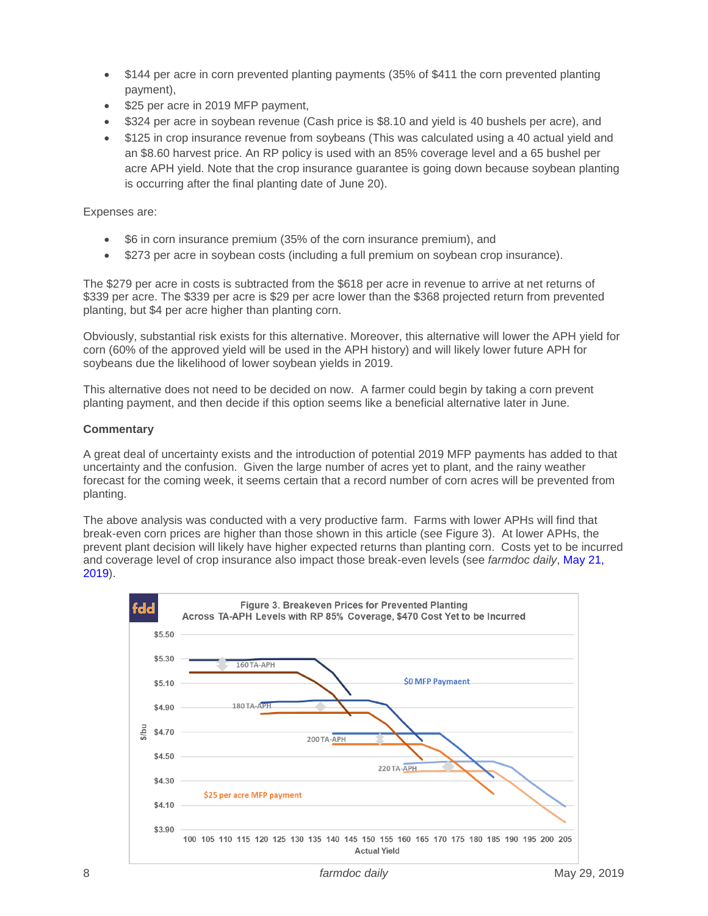- \$144 per acre in corn prevented planting payments (35% of \$411 the corn prevented planting payment),
- \$25 per acre in 2019 MFP payment,
- \$324 per acre in soybean revenue (Cash price is \$8.10 and yield is 40 bushels per acre), and
- \$125 in crop insurance revenue from soybeans (This was calculated using a 40 actual yield and an \$8.60 harvest price. An RP policy is used with an 85% coverage level and a 65 bushel per acre APH yield. Note that the crop insurance guarantee is going down because soybean planting is occurring after the final planting date of June 20).

## Expenses are:

- \$6 in corn insurance premium (35% of the corn insurance premium), and
- \$273 per acre in soybean costs (including a full premium on soybean crop insurance).

The \$279 per acre in costs is subtracted from the \$618 per acre in revenue to arrive at net returns of \$339 per acre. The \$339 per acre is \$29 per acre lower than the \$368 projected return from prevented planting, but \$4 per acre higher than planting corn.

Obviously, substantial risk exists for this alternative. Moreover, this alternative will lower the APH yield for corn (60% of the approved yield will be used in the APH history) and will likely lower future APH for soybeans due the likelihood of lower soybean yields in 2019.

This alternative does not need to be decided on now. A farmer could begin by taking a corn prevent planting payment, and then decide if this option seems like a beneficial alternative later in June.

## **Commentary**

A great deal of uncertainty exists and the introduction of potential 2019 MFP payments has added to that uncertainty and the confusion. Given the large number of acres yet to plant, and the rainy weather forecast for the coming week, it seems certain that a record number of corn acres will be prevented from planting.

The above analysis was conducted with a very productive farm. Farms with lower APHs will find that break-even corn prices are higher than those shown in this article (see Figure 3). At lower APHs, the prevent plant decision will likely have higher expected returns than planting corn. Costs yet to be incurred and coverage level of crop insurance also impact those break-even levels (see *farmdoc daily*, [May 21,](https://farmdocdaily.illinois.edu/2019/05/corn-price-increases-and-prevented-planting.html)  [2019\)](https://farmdocdaily.illinois.edu/2019/05/corn-price-increases-and-prevented-planting.html).

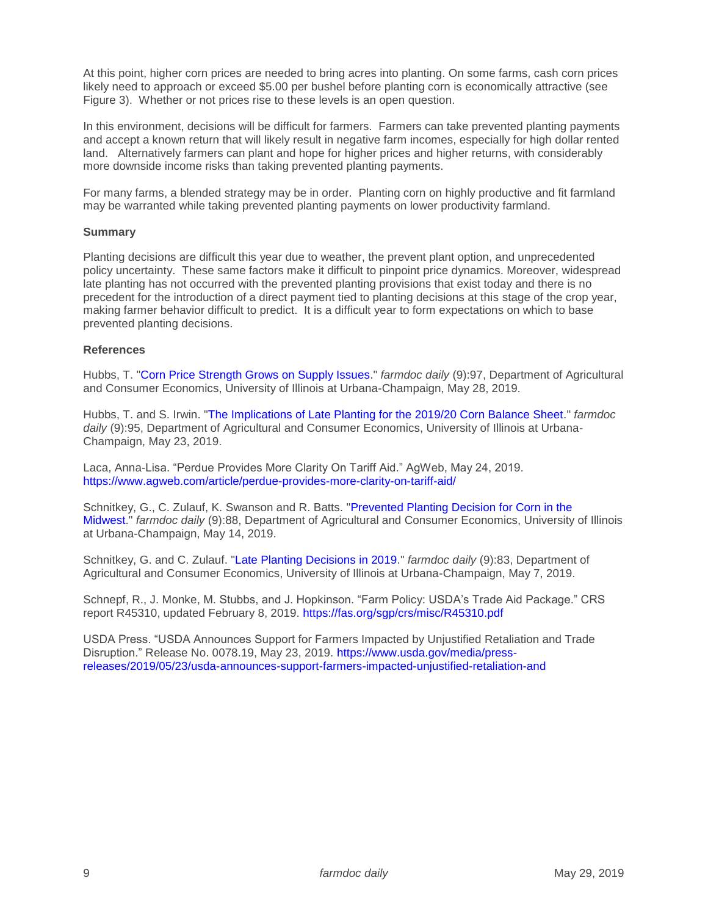At this point, higher corn prices are needed to bring acres into planting. On some farms, cash corn prices likely need to approach or exceed \$5.00 per bushel before planting corn is economically attractive (see Figure 3). Whether or not prices rise to these levels is an open question.

In this environment, decisions will be difficult for farmers. Farmers can take prevented planting payments and accept a known return that will likely result in negative farm incomes, especially for high dollar rented land. Alternatively farmers can plant and hope for higher prices and higher returns, with considerably more downside income risks than taking prevented planting payments.

For many farms, a blended strategy may be in order. Planting corn on highly productive and fit farmland may be warranted while taking prevented planting payments on lower productivity farmland.

#### **Summary**

Planting decisions are difficult this year due to weather, the prevent plant option, and unprecedented policy uncertainty. These same factors make it difficult to pinpoint price dynamics. Moreover, widespread late planting has not occurred with the prevented planting provisions that exist today and there is no precedent for the introduction of a direct payment tied to planting decisions at this stage of the crop year, making farmer behavior difficult to predict. It is a difficult year to form expectations on which to base prevented planting decisions.

#### **References**

Hubbs, T. ["Corn Price Strength Grows on Supply Issues.](https://farmdocdaily.illinois.edu/2019/05/corn-price-strength-grows-on-supply-issues.html)" *farmdoc daily* (9):97, Department of Agricultural and Consumer Economics, University of Illinois at Urbana-Champaign, May 28, 2019.

Hubbs, T. and S. Irwin. ["The Implications of Late Planting for the 2019/20 Corn Balance Sheet.](https://farmdocdaily.illinois.edu/2019/05/the-implications-of-late-planting-for-the-2019-20-corn-balance-sheet.html)" *farmdoc daily* (9):95, Department of Agricultural and Consumer Economics, University of Illinois at Urbana-Champaign, May 23, 2019.

Laca, Anna-Lisa. "Perdue Provides More Clarity On Tariff Aid." AgWeb, May 24, 2019. <https://www.agweb.com/article/perdue-provides-more-clarity-on-tariff-aid/>

Schnitkey, G., C. Zulauf, K. Swanson and R. Batts. ["Prevented Planting Decision for Corn in the](https://farmdocdaily.illinois.edu/2019/05/prevented-planting-decision-for-corn-in-the-midwest.html)  [Midwest.](https://farmdocdaily.illinois.edu/2019/05/prevented-planting-decision-for-corn-in-the-midwest.html)" *farmdoc daily* (9):88, Department of Agricultural and Consumer Economics, University of Illinois at Urbana-Champaign, May 14, 2019.

Schnitkey, G. and C. Zulauf. ["Late Planting Decisions in 2019.](https://farmdocdaily.illinois.edu/2019/05/late-planting-decisions-in-2019.html)" *farmdoc daily* (9):83, Department of Agricultural and Consumer Economics, University of Illinois at Urbana-Champaign, May 7, 2019.

Schnepf, R., J. Monke, M. Stubbs, and J. Hopkinson. "Farm Policy: USDA's Trade Aid Package." CRS report R45310, updated February 8, 2019.<https://fas.org/sgp/crs/misc/R45310.pdf>

USDA Press. "USDA Announces Support for Farmers Impacted by Unjustified Retaliation and Trade Disruption." Release No. 0078.19, May 23, 2019. [https://www.usda.gov/media/press](https://www.usda.gov/media/press-releases/2019/05/23/usda-announces-support-farmers-impacted-unjustified-retaliation-and)[releases/2019/05/23/usda-announces-support-farmers-impacted-unjustified-retaliation-and](https://www.usda.gov/media/press-releases/2019/05/23/usda-announces-support-farmers-impacted-unjustified-retaliation-and)